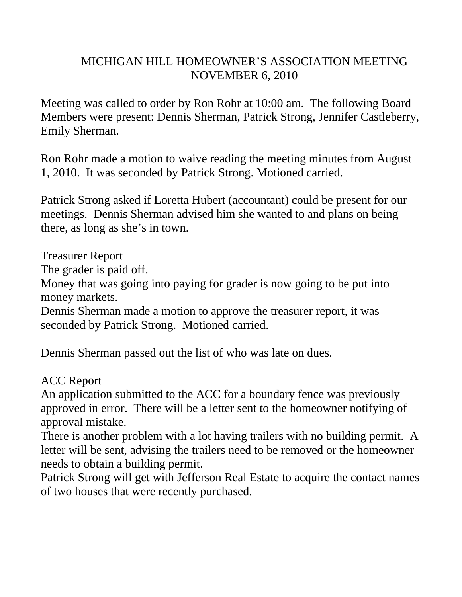# MICHIGAN HILL HOMEOWNER'S ASSOCIATION MEETING NOVEMBER 6, 2010

Meeting was called to order by Ron Rohr at 10:00 am. The following Board Members were present: Dennis Sherman, Patrick Strong, Jennifer Castleberry, Emily Sherman.

Ron Rohr made a motion to waive reading the meeting minutes from August 1, 2010. It was seconded by Patrick Strong. Motioned carried.

Patrick Strong asked if Loretta Hubert (accountant) could be present for our meetings. Dennis Sherman advised him she wanted to and plans on being there, as long as she's in town.

### Treasurer Report

The grader is paid off.

Money that was going into paying for grader is now going to be put into money markets.

Dennis Sherman made a motion to approve the treasurer report, it was seconded by Patrick Strong. Motioned carried.

Dennis Sherman passed out the list of who was late on dues.

### ACC Report

An application submitted to the ACC for a boundary fence was previously approved in error. There will be a letter sent to the homeowner notifying of approval mistake.

There is another problem with a lot having trailers with no building permit. A letter will be sent, advising the trailers need to be removed or the homeowner needs to obtain a building permit.

Patrick Strong will get with Jefferson Real Estate to acquire the contact names of two houses that were recently purchased.